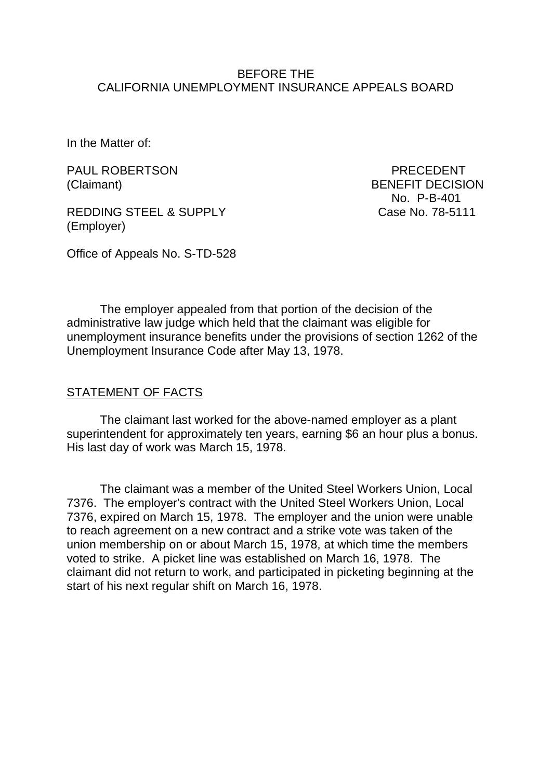### BEFORE THE CALIFORNIA UNEMPLOYMENT INSURANCE APPEALS BOARD

In the Matter of:

PAUL ROBERTSON PAUL PRECEDENT

REDDING STEEL & SUPPLY Case No. 78-5111 (Employer)

(Claimant) BENEFIT DECISION No. P-B-401

Office of Appeals No. S-TD-528

The employer appealed from that portion of the decision of the administrative law judge which held that the claimant was eligible for unemployment insurance benefits under the provisions of section 1262 of the Unemployment Insurance Code after May 13, 1978.

#### STATEMENT OF FACTS

The claimant last worked for the above-named employer as a plant superintendent for approximately ten years, earning \$6 an hour plus a bonus. His last day of work was March 15, 1978.

The claimant was a member of the United Steel Workers Union, Local 7376. The employer's contract with the United Steel Workers Union, Local 7376, expired on March 15, 1978. The employer and the union were unable to reach agreement on a new contract and a strike vote was taken of the union membership on or about March 15, 1978, at which time the members voted to strike. A picket line was established on March 16, 1978. The claimant did not return to work, and participated in picketing beginning at the start of his next regular shift on March 16, 1978.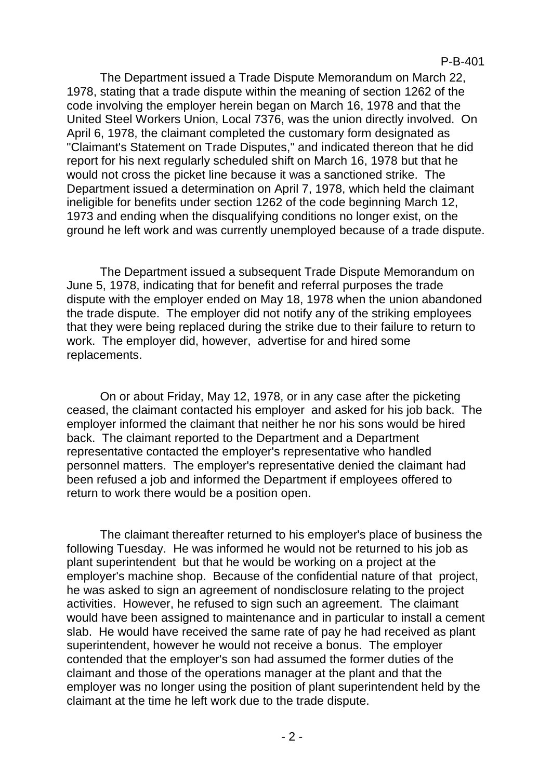The Department issued a Trade Dispute Memorandum on March 22, 1978, stating that a trade dispute within the meaning of section 1262 of the code involving the employer herein began on March 16, 1978 and that the United Steel Workers Union, Local 7376, was the union directly involved. On April 6, 1978, the claimant completed the customary form designated as "Claimant's Statement on Trade Disputes," and indicated thereon that he did report for his next regularly scheduled shift on March 16, 1978 but that he would not cross the picket line because it was a sanctioned strike. The Department issued a determination on April 7, 1978, which held the claimant ineligible for benefits under section 1262 of the code beginning March 12, 1973 and ending when the disqualifying conditions no longer exist, on the ground he left work and was currently unemployed because of a trade dispute.

The Department issued a subsequent Trade Dispute Memorandum on June 5, 1978, indicating that for benefit and referral purposes the trade dispute with the employer ended on May 18, 1978 when the union abandoned the trade dispute. The employer did not notify any of the striking employees that they were being replaced during the strike due to their failure to return to work. The employer did, however, advertise for and hired some replacements.

On or about Friday, May 12, 1978, or in any case after the picketing ceased, the claimant contacted his employer and asked for his job back. The employer informed the claimant that neither he nor his sons would be hired back. The claimant reported to the Department and a Department representative contacted the employer's representative who handled personnel matters. The employer's representative denied the claimant had been refused a job and informed the Department if employees offered to return to work there would be a position open.

The claimant thereafter returned to his employer's place of business the following Tuesday. He was informed he would not be returned to his job as plant superintendent but that he would be working on a project at the employer's machine shop. Because of the confidential nature of that project, he was asked to sign an agreement of nondisclosure relating to the project activities. However, he refused to sign such an agreement. The claimant would have been assigned to maintenance and in particular to install a cement slab. He would have received the same rate of pay he had received as plant superintendent, however he would not receive a bonus. The employer contended that the employer's son had assumed the former duties of the claimant and those of the operations manager at the plant and that the employer was no longer using the position of plant superintendent held by the claimant at the time he left work due to the trade dispute.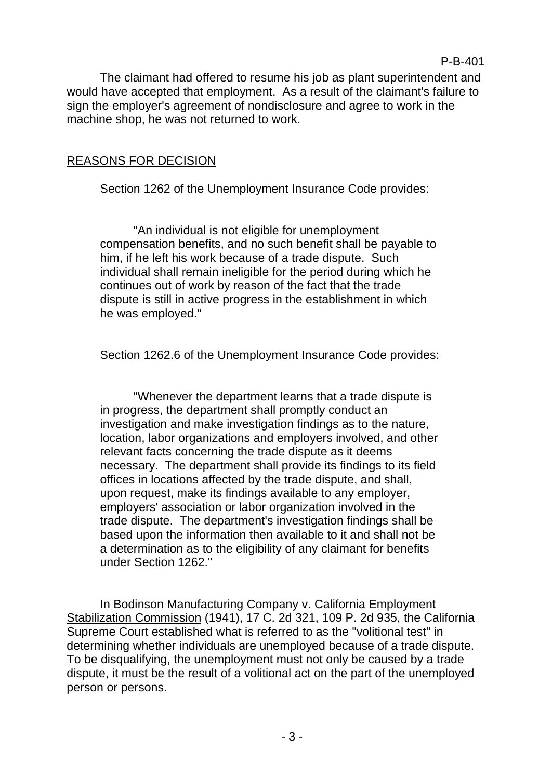The claimant had offered to resume his job as plant superintendent and would have accepted that employment. As a result of the claimant's failure to sign the employer's agreement of nondisclosure and agree to work in the machine shop, he was not returned to work.

# REASONS FOR DECISION

Section 1262 of the Unemployment Insurance Code provides:

"An individual is not eligible for unemployment compensation benefits, and no such benefit shall be payable to him, if he left his work because of a trade dispute. Such individual shall remain ineligible for the period during which he continues out of work by reason of the fact that the trade dispute is still in active progress in the establishment in which he was employed."

Section 1262.6 of the Unemployment Insurance Code provides:

"Whenever the department learns that a trade dispute is in progress, the department shall promptly conduct an investigation and make investigation findings as to the nature, location, labor organizations and employers involved, and other relevant facts concerning the trade dispute as it deems necessary. The department shall provide its findings to its field offices in locations affected by the trade dispute, and shall, upon request, make its findings available to any employer, employers' association or labor organization involved in the trade dispute. The department's investigation findings shall be based upon the information then available to it and shall not be a determination as to the eligibility of any claimant for benefits under Section 1262."

In Bodinson Manufacturing Company v. California Employment Stabilization Commission (1941), 17 C. 2d 321, 109 P. 2d 935, the California Supreme Court established what is referred to as the "volitional test" in determining whether individuals are unemployed because of a trade dispute. To be disqualifying, the unemployment must not only be caused by a trade dispute, it must be the result of a volitional act on the part of the unemployed person or persons.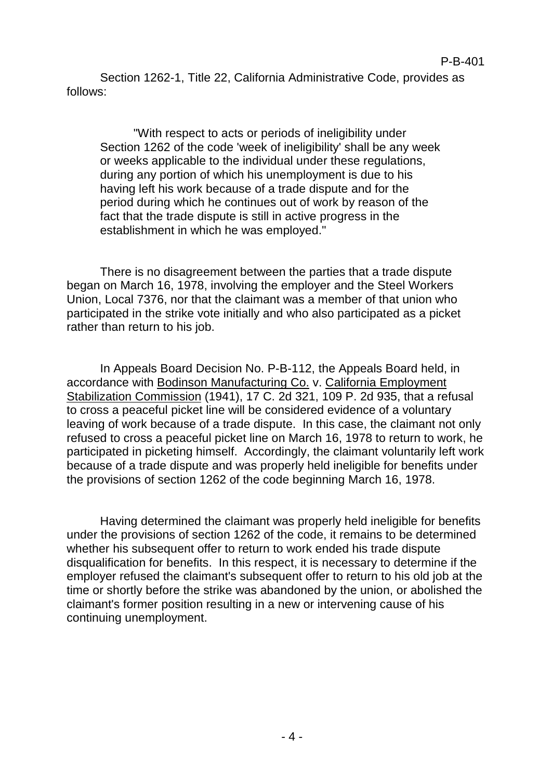Section 1262-1, Title 22, California Administrative Code, provides as follows:

"With respect to acts or periods of ineligibility under Section 1262 of the code 'week of ineligibility' shall be any week or weeks applicable to the individual under these regulations, during any portion of which his unemployment is due to his having left his work because of a trade dispute and for the period during which he continues out of work by reason of the fact that the trade dispute is still in active progress in the establishment in which he was employed."

There is no disagreement between the parties that a trade dispute began on March 16, 1978, involving the employer and the Steel Workers Union, Local 7376, nor that the claimant was a member of that union who participated in the strike vote initially and who also participated as a picket rather than return to his job.

In Appeals Board Decision No. P-B-112, the Appeals Board held, in accordance with Bodinson Manufacturing Co. v. California Employment Stabilization Commission (1941), 17 C. 2d 321, 109 P. 2d 935, that a refusal to cross a peaceful picket line will be considered evidence of a voluntary leaving of work because of a trade dispute. In this case, the claimant not only refused to cross a peaceful picket line on March 16, 1978 to return to work, he participated in picketing himself. Accordingly, the claimant voluntarily left work because of a trade dispute and was properly held ineligible for benefits under the provisions of section 1262 of the code beginning March 16, 1978.

Having determined the claimant was properly held ineligible for benefits under the provisions of section 1262 of the code, it remains to be determined whether his subsequent offer to return to work ended his trade dispute disqualification for benefits. In this respect, it is necessary to determine if the employer refused the claimant's subsequent offer to return to his old job at the time or shortly before the strike was abandoned by the union, or abolished the claimant's former position resulting in a new or intervening cause of his continuing unemployment.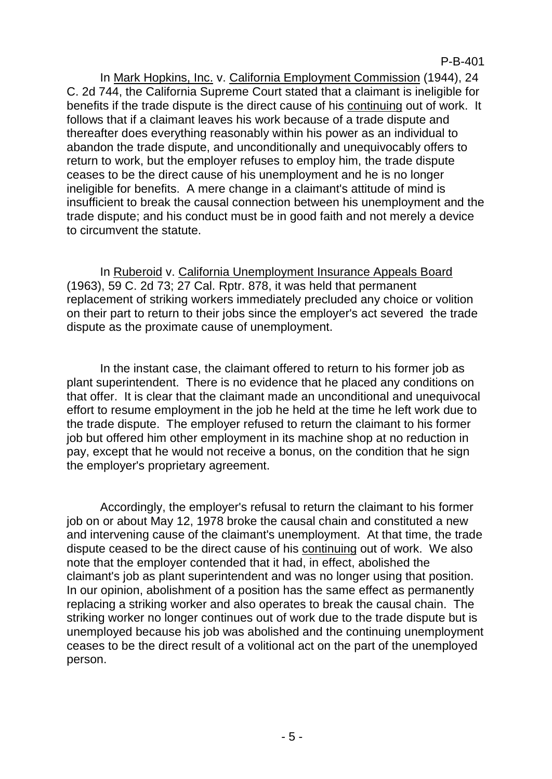In Mark Hopkins, Inc. v. California Employment Commission (1944), 24 C. 2d 744, the California Supreme Court stated that a claimant is ineligible for benefits if the trade dispute is the direct cause of his continuing out of work. It follows that if a claimant leaves his work because of a trade dispute and thereafter does everything reasonably within his power as an individual to abandon the trade dispute, and unconditionally and unequivocably offers to return to work, but the employer refuses to employ him, the trade dispute ceases to be the direct cause of his unemployment and he is no longer ineligible for benefits. A mere change in a claimant's attitude of mind is insufficient to break the causal connection between his unemployment and the trade dispute; and his conduct must be in good faith and not merely a device to circumvent the statute.

In Ruberoid v. California Unemployment Insurance Appeals Board (1963), 59 C. 2d 73; 27 Cal. Rptr. 878, it was held that permanent replacement of striking workers immediately precluded any choice or volition on their part to return to their jobs since the employer's act severed the trade dispute as the proximate cause of unemployment.

In the instant case, the claimant offered to return to his former job as plant superintendent. There is no evidence that he placed any conditions on that offer. It is clear that the claimant made an unconditional and unequivocal effort to resume employment in the job he held at the time he left work due to the trade dispute. The employer refused to return the claimant to his former job but offered him other employment in its machine shop at no reduction in pay, except that he would not receive a bonus, on the condition that he sign the employer's proprietary agreement.

Accordingly, the employer's refusal to return the claimant to his former job on or about May 12, 1978 broke the causal chain and constituted a new and intervening cause of the claimant's unemployment. At that time, the trade dispute ceased to be the direct cause of his continuing out of work. We also note that the employer contended that it had, in effect, abolished the claimant's job as plant superintendent and was no longer using that position. In our opinion, abolishment of a position has the same effect as permanently replacing a striking worker and also operates to break the causal chain. The striking worker no longer continues out of work due to the trade dispute but is unemployed because his job was abolished and the continuing unemployment ceases to be the direct result of a volitional act on the part of the unemployed person.